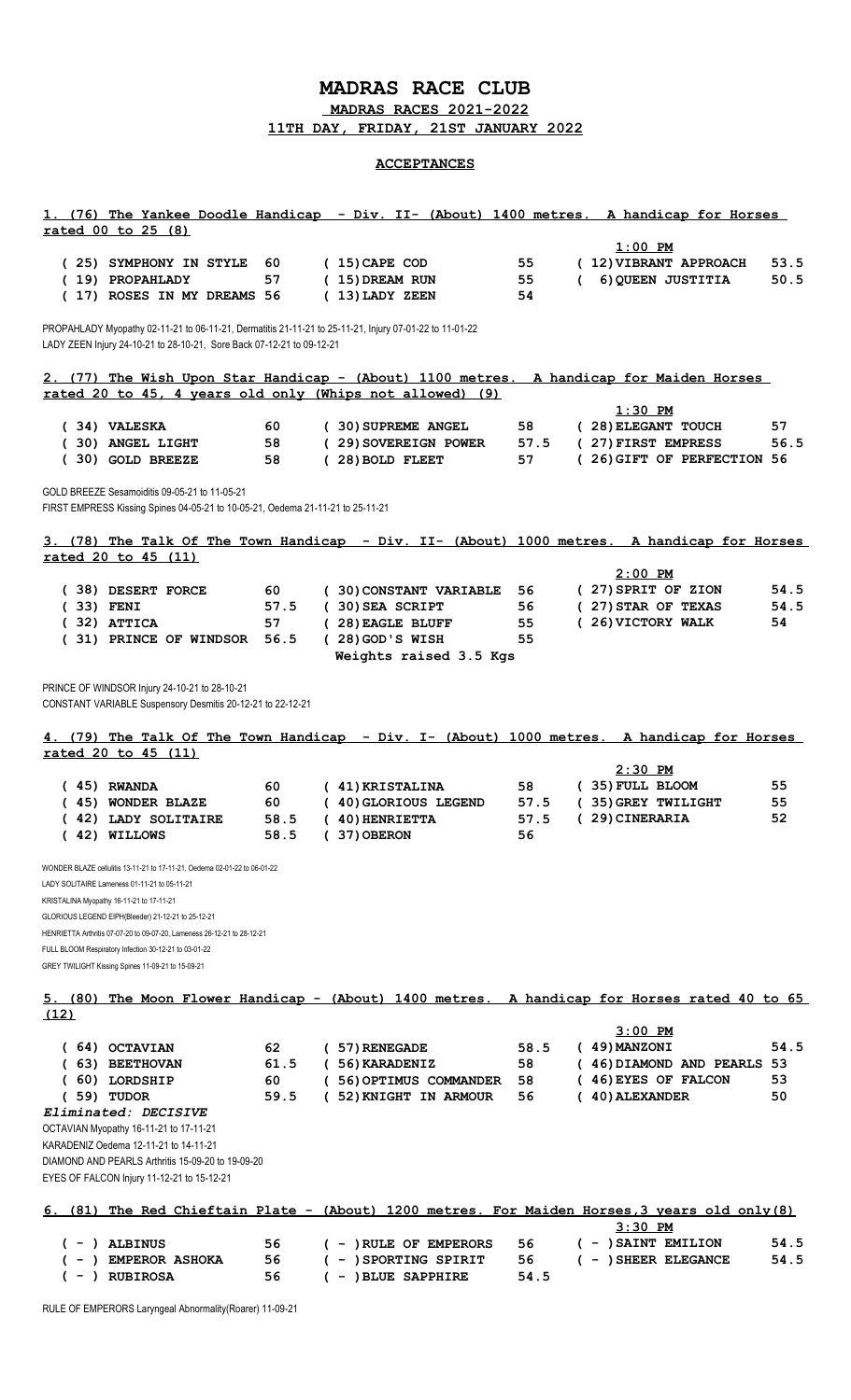## **MADRAS RACE CLUB**

 **MADRAS RACES 2021-2022**

**11TH DAY, FRIDAY, 21ST JANUARY 2022**

## **ACCEPTANCES**

|             | <u>rated 00 to 25 (8)</u>                                                                                                                                                       |              |                                                          |                | 1. (76) The Yankee Doodle Handicap - Div. II- (About) 1400 metres. A handicap for Horses       |              |
|-------------|---------------------------------------------------------------------------------------------------------------------------------------------------------------------------------|--------------|----------------------------------------------------------|----------------|------------------------------------------------------------------------------------------------|--------------|
|             | (25) SYMPHONY IN STYLE<br>(19) PROPAHLADY<br>(17) ROSES IN MY DREAMS 56                                                                                                         | 60<br>57     | $(15)$ CAPE COD<br>(15) DREAM RUN<br>(13) LADY ZEEN      | 55<br>55<br>54 | $1:00$ PM<br>(12) VIBRANT APPROACH<br>6) QUEEN JUSTITIA<br>$\epsilon$                          | 53.5<br>50.5 |
|             | PROPAHLADY Myopathy 02-11-21 to 06-11-21, Dermatitis 21-11-21 to 25-11-21, Injury 07-01-22 to 11-01-22<br>LADY ZEEN Injury 24-10-21 to 28-10-21, Sore Back 07-12-21 to 09-12-21 |              |                                                          |                |                                                                                                |              |
|             |                                                                                                                                                                                 |              |                                                          |                | 2. (77) The Wish Upon Star Handicap - (About) 1100 metres. A handicap for Maiden Horses        |              |
|             |                                                                                                                                                                                 |              | rated 20 to 45, 4 years old only (Whips not allowed) (9) |                | $1:30$ PM                                                                                      |              |
|             | (34) VALESKA                                                                                                                                                                    | 60           | (30) SUPREME ANGEL                                       | 58             | (28) ELEGANT TOUCH                                                                             | 57           |
|             | (30) ANGEL LIGHT                                                                                                                                                                | 58           | (29) SOVEREIGN POWER                                     | 57.5           | (27) FIRST EMPRESS                                                                             | 56.5         |
|             | (30) GOLD BREEZE                                                                                                                                                                | 58           | (28) BOLD FLEET                                          | 57             | (26) GIFT OF PERFECTION 56                                                                     |              |
|             | GOLD BREEZE Sesamoiditis 09-05-21 to 11-05-21<br>FIRST EMPRESS Kissing Spines 04-05-21 to 10-05-21, Oedema 21-11-21 to 25-11-21                                                 |              |                                                          |                |                                                                                                |              |
|             | rated 20 to 45 (11)                                                                                                                                                             |              |                                                          |                | 3. (78) The Talk Of The Town Handicap - Div. II- (About) 1000 metres. A handicap for Horses    |              |
|             |                                                                                                                                                                                 |              |                                                          |                | $2:00$ PM                                                                                      |              |
|             | (38) DESERT FORCE                                                                                                                                                               | 60           | (30) CONSTANT VARIABLE                                   | 56             | (27) SPRIT OF ZION                                                                             | 54.5         |
| $(33)$ FENI | $(32)$ ATTICA                                                                                                                                                                   | 57.5<br>57   | (30) SEA SCRIPT<br>(28) EAGLE BLUFF                      | 56<br>55       | (27) STAR OF TEXAS<br>(26) VICTORY WALK                                                        | 54.5<br>54   |
|             | (31) PRINCE OF WINDSOR                                                                                                                                                          | 56.5         | $(28)$ GOD'S WISH<br>Weights raised 3.5 Kgs              | 55             |                                                                                                |              |
|             | PRINCE OF WINDSOR Injury 24-10-21 to 28-10-21<br>CONSTANT VARIABLE Suspensory Desmitis 20-12-21 to 22-12-21                                                                     |              |                                                          |                |                                                                                                |              |
|             | rated 20 to 45 (11)                                                                                                                                                             |              |                                                          |                | 4. (79) The Talk Of The Town Handicap - Div. I- (About) 1000 metres. A handicap for Horses     |              |
|             |                                                                                                                                                                                 |              |                                                          |                | $2:30$ PM                                                                                      |              |
|             | $(45)$ RWANDA<br>(45) WONDER BLAZE                                                                                                                                              | 60<br>60     | (41) KRISTALINA<br>( 40) GLORIOUS LEGEND                 | 58<br>57.5     | (35) FULL BLOOM<br>(35) GREY TWILIGHT                                                          | 55<br>55     |
|             | (42) LADY SOLITAIRE<br>$(42)$ WILLOWS                                                                                                                                           | 58.5<br>58.5 | $(40)$ HENRIETTA<br>$(37)$ OBERON                        | 57.5<br>56     | (29) CINERARIA                                                                                 | 52           |
|             | WONDER BLAZE cellulitis 13-11-21 to 17-11-21, Oedema 02-01-22 to 06-01-22                                                                                                       |              |                                                          |                |                                                                                                |              |
|             | LADY SOLITAIRE Lameness 01-11-21 to 05-11-21                                                                                                                                    |              |                                                          |                |                                                                                                |              |
|             | KRISTALINA Myopathy 16-11-21 to 17-11-21<br>GLORIOUS LEGEND EIPH(Bleeder) 21-12-21 to 25-12-21                                                                                  |              |                                                          |                |                                                                                                |              |
|             | HENRIETTA Arthritis 07-07-20 to 09-07-20, Lameness 26-12-21 to 28-12-21                                                                                                         |              |                                                          |                |                                                                                                |              |
|             | FULL BLOOM Respiratory Infection 30-12-21 to 03-01-22                                                                                                                           |              |                                                          |                |                                                                                                |              |
|             | GREY TWILIGHT Kissing Spines 11-09-21 to 15-09-21                                                                                                                               |              |                                                          |                |                                                                                                |              |
| (12)        |                                                                                                                                                                                 |              |                                                          |                | 5. (80) The Moon Flower Handicap - (About) 1400 metres. A handicap for Horses rated 40 to 65   |              |
|             |                                                                                                                                                                                 |              |                                                          |                | $3:00$ PM                                                                                      |              |
|             | $(64)$ OCTAVIAN<br>(63) BEETHOVAN                                                                                                                                               | 62<br>61.5   | (57) RENEGADE<br>(56) KARADENIZ                          | 58.5<br>58     | $(49)$ MANZONI<br>(46) DIAMOND AND PEARLS 53                                                   | 54.5         |
|             | $(60)$ LORDSHIP                                                                                                                                                                 | 60           | (56) OPTIMUS COMMANDER                                   | 58             | (46) EYES OF FALCON                                                                            | 53           |
|             | $(59)$ TUDOR                                                                                                                                                                    | 59.5         | ( 52) KNIGHT IN ARMOUR                                   | 56             | $(40)$ ALEXANDER                                                                               | 50           |
|             | Eliminated: DECISIVE<br>OCTAVIAN Myopathy 16-11-21 to 17-11-21                                                                                                                  |              |                                                          |                |                                                                                                |              |
|             | KARADENIZ Oedema 12-11-21 to 14-11-21                                                                                                                                           |              |                                                          |                |                                                                                                |              |
|             | DIAMOND AND PEARLS Arthritis 15-09-20 to 19-09-20<br>EYES OF FALCON Injury 11-12-21 to 15-12-21                                                                                 |              |                                                          |                |                                                                                                |              |
|             |                                                                                                                                                                                 |              |                                                          |                | 6. (81) The Red Chieftain Plate - (About) 1200 metres. For Maiden Horses, 3 years old only (8) |              |
|             | ( - ) ALBINUS                                                                                                                                                                   | 56           | $( - )$ RULE OF EMPERORS                                 | 56             | $3:30$ PM<br>( - ) SAINT EMILION                                                               | 54.5         |
|             | - ) EMPEROR ASHOKA                                                                                                                                                              | 56           | ( - ) SPORTING SPIRIT                                    | 56             | ( - ) SHEER ELEGANCE                                                                           | 54.5         |
|             | ( - ) RUBIROSA                                                                                                                                                                  | 56           | $( - )$ BLUE SAPPHIRE                                    | 54.5           |                                                                                                |              |

RULE OF EMPERORS Laryngeal Abnormality(Roarer) 11-09-21